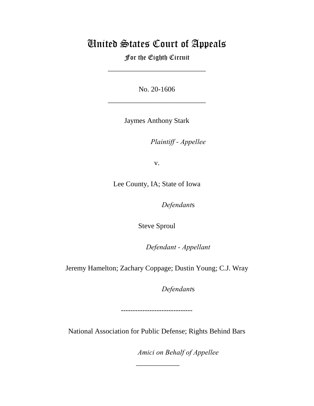## United States Court of Appeals

For the Eighth Circuit

\_\_\_\_\_\_\_\_\_\_\_\_\_\_\_\_\_\_\_\_\_\_\_\_\_\_\_

No. 20-1606

\_\_\_\_\_\_\_\_\_\_\_\_\_\_\_\_\_\_\_\_\_\_\_\_\_\_\_

Jaymes Anthony Stark

*Plaintiff - Appellee* 

v.

Lee County, IA; State of Iowa

Defendants

Steve Sproul

Defendant - Appellant

Jeremy Hamelton; Zachary Coppage; Dustin Young; C.J. Wray

Defendants

------------------------------

National Association for Public Defense; Rights Behind Bars

 $\overline{\phantom{a}}$ 

Amici on Behalf of Appellee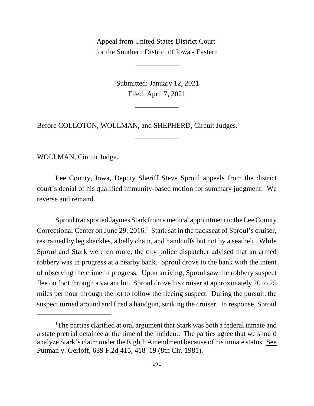Appeal from United States District Court for the Southern District of Iowa - Eastern

 $\overline{\phantom{a}}$ 

 Submitted: January 12, 2021 Filed: April 7, 2021

\_\_\_\_\_\_\_\_\_\_\_\_

\_\_\_\_\_\_\_\_\_\_\_\_

Before COLLOTON, WOLLMAN, and SHEPHERD, Circuit Judges.

WOLLMAN, Circuit Judge.

Lee County, Iowa, Deputy Sheriff Steve Sproul appeals from the district court's denial of his qualified immunity-based motion for summary judgment. We reverse and remand.

Sproul transported Jaymes Stark from a medical appointment to the Lee County Correctional Center on June 29, 2016.<sup>1</sup> Stark sat in the backseat of Sproul's cruiser, restrained by leg shackles, a belly chain, and handcuffs but not by a seatbelt. While Sproul and Stark were en route, the city police dispatcher advised that an armed robbery was in progress at a nearby bank. Sproul drove to the bank with the intent of observing the crime in progress. Upon arriving, Sproul saw the robbery suspect flee on foot through a vacant lot. Sproul drove his cruiser at approximately 20 to 25 miles per hour through the lot to follow the fleeing suspect. During the pursuit, the suspect turned around and fired a handgun, striking the cruiser. In response, Sproul

<sup>1</sup>The parties clarified at oral argument that Stark was both a federal inmate and a state pretrial detainee at the time of the incident. The parties agree that we should analyze Stark's claim under the Eighth Amendment because of his inmate status. See Putman v. Gerloff, 639 F.2d 415, 418–19 (8th Cir. 1981).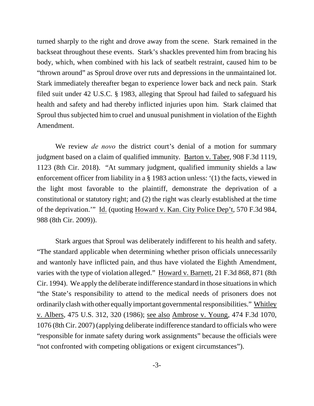turned sharply to the right and drove away from the scene. Stark remained in the backseat throughout these events. Stark's shackles prevented him from bracing his body, which, when combined with his lack of seatbelt restraint, caused him to be "thrown around" as Sproul drove over ruts and depressions in the unmaintained lot. Stark immediately thereafter began to experience lower back and neck pain. Stark filed suit under 42 U.S.C. § 1983, alleging that Sproul had failed to safeguard his health and safety and had thereby inflicted injuries upon him. Stark claimed that Sproul thus subjected him to cruel and unusual punishment in violation of the Eighth Amendment.

We review *de novo* the district court's denial of a motion for summary judgment based on a claim of qualified immunity. Barton v. Taber, 908 F.3d 1119, 1123 (8th Cir. 2018). "At summary judgment, qualified immunity shields a law enforcement officer from liability in a § 1983 action unless: '(1) the facts, viewed in the light most favorable to the plaintiff, demonstrate the deprivation of a constitutional or statutory right; and (2) the right was clearly established at the time of the deprivation.'" Id. (quoting Howard v. Kan. City Police Dep't, 570 F.3d 984, 988 (8th Cir. 2009)).

Stark argues that Sproul was deliberately indifferent to his health and safety. "The standard applicable when determining whether prison officials unnecessarily and wantonly have inflicted pain, and thus have violated the Eighth Amendment, varies with the type of violation alleged." Howard v. Barnett, 21 F.3d 868, 871 (8th Cir. 1994). We apply the deliberate indifference standard in those situations in which "the State's responsibility to attend to the medical needs of prisoners does not ordinarily clash with other equally important governmental responsibilities." Whitley v. Albers, 475 U.S. 312, 320 (1986); see also Ambrose v. Young, 474 F.3d 1070, 1076 (8th Cir. 2007) (applying deliberate indifference standard to officials who were "responsible for inmate safety during work assignments" because the officials were "not confronted with competing obligations or exigent circumstances").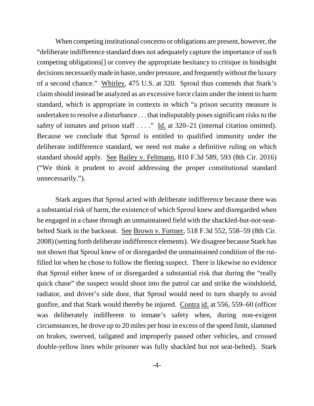When competing institutional concerns or obligations are present, however, the "deliberate indifference standard does not adequately capture the importance of such competing obligations[] or convey the appropriate hesitancy to critique in hindsight decisions necessarily made in haste, under pressure, and frequently without the luxury of a second chance." Whitley, 475 U.S. at 320. Sproul thus contends that Stark's claim should instead be analyzed as an excessive force claim under the intent to harm standard, which is appropriate in contexts in which "a prison security measure is undertaken to resolve a disturbance . . . that indisputably poses significant risks to the safety of inmates and prison staff  $\dots$ ." Id. at 320–21 (internal citation omitted). Because we conclude that Sproul is entitled to qualified immunity under the deliberate indifference standard, we need not make a definitive ruling on which standard should apply. See Bailey v. Feltmann, 810 F.3d 589, 593 (8th Cir. 2016) ("We think it prudent to avoid addressing the proper constitutional standard unnecessarily.").

Stark argues that Sproul acted with deliberate indifference because there was a substantial risk of harm, the existence of which Sproul knew and disregarded when he engaged in a chase through an unmaintained field with the shackled-but-not-seatbelted Stark in the backseat. See Brown v. Fortner, 518 F.3d 552, 558–59 (8th Cir. 2008) (setting forth deliberate indifference elements). We disagree because Stark has not shown that Sproul knew of or disregarded the unmaintained condition of the rutfilled lot when he chose to follow the fleeing suspect. There is likewise no evidence that Sproul either knew of or disregarded a substantial risk that during the "really quick chase" the suspect would shoot into the patrol car and strike the windshield, radiator, and driver's side door, that Sproul would need to turn sharply to avoid gunfire, and that Stark would thereby be injured. Contra id. at 556, 559–60 (officer was deliberately indifferent to inmate's safety when, during non-exigent circumstances, he drove up to 20 miles per hour in excess of the speed limit, slammed on brakes, swerved, tailgated and improperly passed other vehicles, and crossed double-yellow lines while prisoner was fully shackled but not seat-belted). Stark